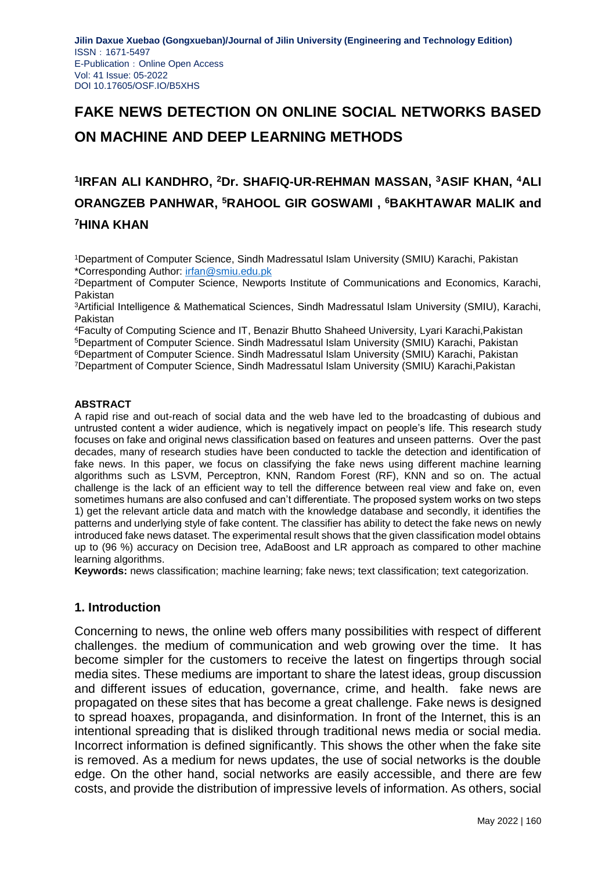# **FAKE NEWS DETECTION ON ONLINE SOCIAL NETWORKS BASED ON MACHINE AND DEEP LEARNING METHODS**

## **1 IRFAN ALI KANDHRO, <sup>2</sup>Dr. SHAFIQ-UR-REHMAN MASSAN, <sup>3</sup>ASIF KHAN, <sup>4</sup>ALI ORANGZEB PANHWAR, <sup>5</sup>RAHOOL GIR GOSWAMI , <sup>6</sup>BAKHTAWAR MALIK and <sup>7</sup>HINA KHAN**

<sup>1</sup>Department of Computer Science, Sindh Madressatul Islam University (SMIU) Karachi, Pakistan \*Corresponding Author: [irfan@smiu.edu.pk](mailto:irfan@smiu.edu.pk)

<sup>2</sup>Department of Computer Science, Newports Institute of Communications and Economics, Karachi, Pakistan

<sup>3</sup>Artificial Intelligence & Mathematical Sciences, Sindh Madressatul Islam University (SMIU), Karachi, Pakistan

Faculty of Computing Science and IT, Benazir Bhutto Shaheed University, Lyari Karachi,Pakistan Department of Computer Science. Sindh Madressatul Islam University (SMIU) Karachi, Pakistan Department of Computer Science. Sindh Madressatul Islam University (SMIU) Karachi, Pakistan Department of Computer Science, Sindh Madressatul Islam University (SMIU) Karachi,Pakistan

#### **ABSTRACT**

A rapid rise and out-reach of social data and the web have led to the broadcasting of dubious and untrusted content a wider audience, which is negatively impact on people's life. This research study focuses on fake and original news classification based on features and unseen patterns. Over the past decades, many of research studies have been conducted to tackle the detection and identification of fake news. In this paper, we focus on classifying the fake news using different machine learning algorithms such as LSVM, Perceptron, KNN, Random Forest (RF), KNN and so on. The actual challenge is the lack of an efficient way to tell the difference between real view and fake on, even sometimes humans are also confused and can't differentiate. The proposed system works on two steps 1) get the relevant article data and match with the knowledge database and secondly, it identifies the patterns and underlying style of fake content. The classifier has ability to detect the fake news on newly introduced fake news dataset. The experimental result shows that the given classification model obtains up to (96 %) accuracy on Decision tree, AdaBoost and LR approach as compared to other machine learning algorithms.

**Keywords:** news classification; machine learning; fake news; text classification; text categorization.

#### **1. Introduction**

Concerning to news, the online web offers many possibilities with respect of different challenges. the medium of communication and web growing over the time. It has become simpler for the customers to receive the latest on fingertips through social media sites. These mediums are important to share the latest ideas, group discussion and different issues of education, governance, crime, and health. fake news are propagated on these sites that has become a great challenge. Fake news is designed to spread hoaxes, propaganda, and disinformation. In front of the Internet, this is an intentional spreading that is disliked through traditional news media or social media. Incorrect information is defined significantly. This shows the other when the fake site is removed. As a medium for news updates, the use of social networks is the double edge. On the other hand, social networks are easily accessible, and there are few costs, and provide the distribution of impressive levels of information. As others, social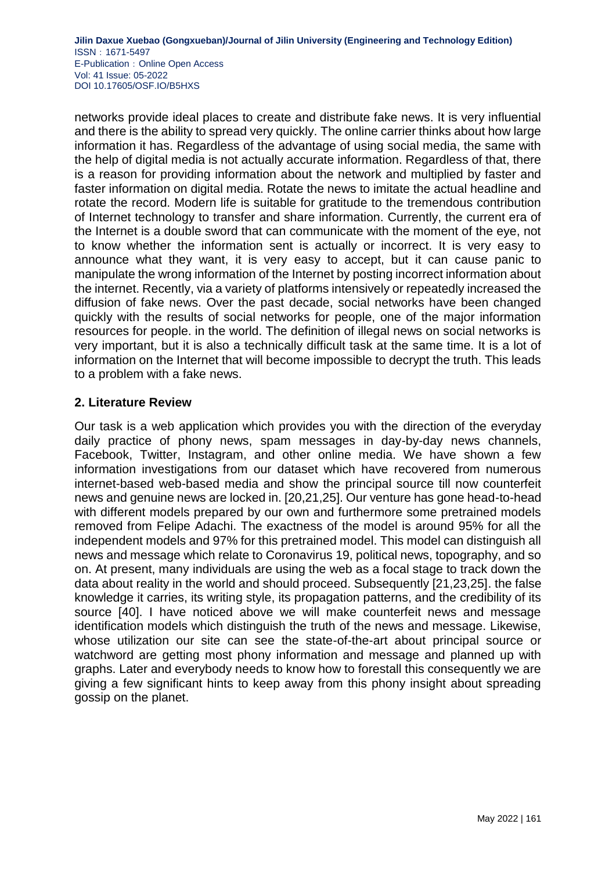networks provide ideal places to create and distribute fake news. It is very influential and there is the ability to spread very quickly. The online carrier thinks about how large information it has. Regardless of the advantage of using social media, the same with the help of digital media is not actually accurate information. Regardless of that, there is a reason for providing information about the network and multiplied by faster and faster information on digital media. Rotate the news to imitate the actual headline and rotate the record. Modern life is suitable for gratitude to the tremendous contribution of Internet technology to transfer and share information. Currently, the current era of the Internet is a double sword that can communicate with the moment of the eye, not to know whether the information sent is actually or incorrect. It is very easy to announce what they want, it is very easy to accept, but it can cause panic to manipulate the wrong information of the Internet by posting incorrect information about the internet. Recently, via a variety of platforms intensively or repeatedly increased the diffusion of fake news. Over the past decade, social networks have been changed quickly with the results of social networks for people, one of the major information resources for people. in the world. The definition of illegal news on social networks is very important, but it is also a technically difficult task at the same time. It is a lot of information on the Internet that will become impossible to decrypt the truth. This leads to a problem with a fake news.

## **2. Literature Review**

Our task is a web application which provides you with the direction of the everyday daily practice of phony news, spam messages in day-by-day news channels, Facebook, Twitter, Instagram, and other online media. We have shown a few information investigations from our dataset which have recovered from numerous internet-based web-based media and show the principal source till now counterfeit news and genuine news are locked in. [20,21,25]. Our venture has gone head-to-head with different models prepared by our own and furthermore some pretrained models removed from Felipe Adachi. The exactness of the model is around 95% for all the independent models and 97% for this pretrained model. This model can distinguish all news and message which relate to Coronavirus 19, political news, topography, and so on. At present, many individuals are using the web as a focal stage to track down the data about reality in the world and should proceed. Subsequently [21,23,25]. the false knowledge it carries, its writing style, its propagation patterns, and the credibility of its source [40]. I have noticed above we will make counterfeit news and message identification models which distinguish the truth of the news and message. Likewise, whose utilization our site can see the state-of-the-art about principal source or watchword are getting most phony information and message and planned up with graphs. Later and everybody needs to know how to forestall this consequently we are giving a few significant hints to keep away from this phony insight about spreading gossip on the planet.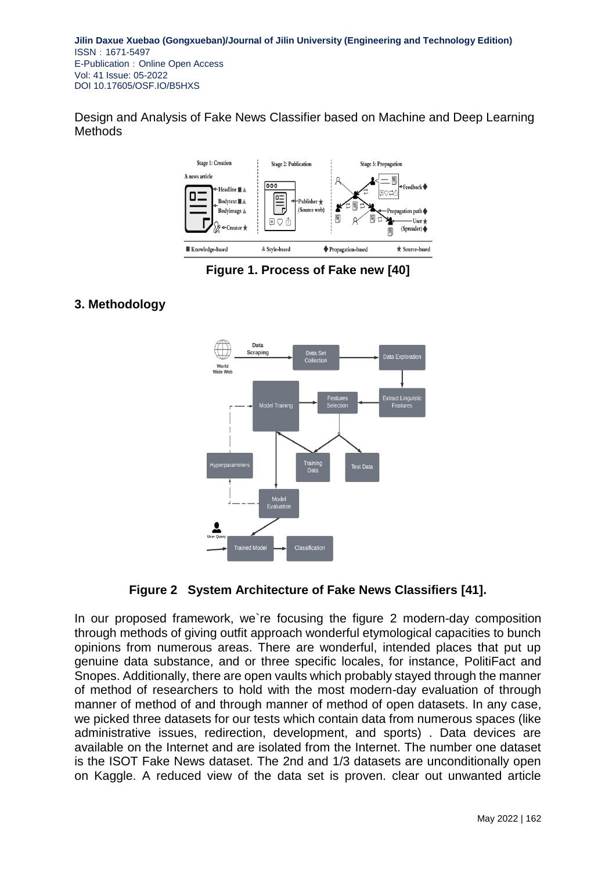Design and Analysis of Fake News Classifier based on Machine and Deep Learning Methods



**Figure 1. Process of Fake new [40]**

### **3. Methodology**





In our proposed framework, we`re focusing the figure 2 modern-day composition through methods of giving outfit approach wonderful etymological capacities to bunch opinions from numerous areas. There are wonderful, intended places that put up genuine data substance, and or three specific locales, for instance, PolitiFact and Snopes. Additionally, there are open vaults which probably stayed through the manner of method of researchers to hold with the most modern-day evaluation of through manner of method of and through manner of method of open datasets. In any case, we picked three datasets for our tests which contain data from numerous spaces (like administrative issues, redirection, development, and sports) . Data devices are available on the Internet and are isolated from the Internet. The number one dataset is the ISOT Fake News dataset. The 2nd and 1/3 datasets are unconditionally open on Kaggle. A reduced view of the data set is proven. clear out unwanted article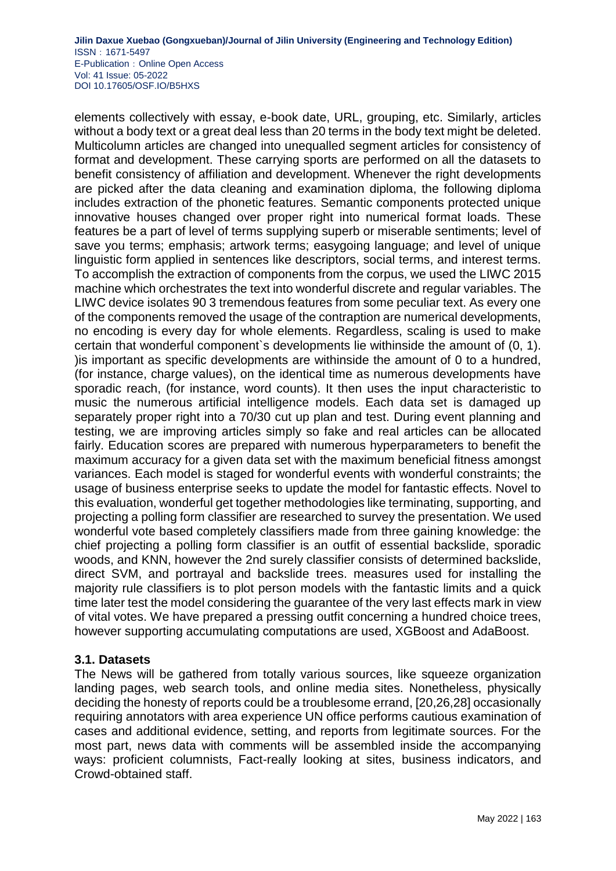elements collectively with essay, e-book date, URL, grouping, etc. Similarly, articles without a body text or a great deal less than 20 terms in the body text might be deleted. Multicolumn articles are changed into unequalled segment articles for consistency of format and development. These carrying sports are performed on all the datasets to benefit consistency of affiliation and development. Whenever the right developments are picked after the data cleaning and examination diploma, the following diploma includes extraction of the phonetic features. Semantic components protected unique innovative houses changed over proper right into numerical format loads. These features be a part of level of terms supplying superb or miserable sentiments; level of save you terms; emphasis; artwork terms; easygoing language; and level of unique linguistic form applied in sentences like descriptors, social terms, and interest terms. To accomplish the extraction of components from the corpus, we used the LIWC 2015 machine which orchestrates the text into wonderful discrete and regular variables. The LIWC device isolates 90 3 tremendous features from some peculiar text. As every one of the components removed the usage of the contraption are numerical developments, no encoding is every day for whole elements. Regardless, scaling is used to make certain that wonderful component`s developments lie withinside the amount of (0, 1). )is important as specific developments are withinside the amount of 0 to a hundred, (for instance, charge values), on the identical time as numerous developments have sporadic reach, (for instance, word counts). It then uses the input characteristic to music the numerous artificial intelligence models. Each data set is damaged up separately proper right into a 70/30 cut up plan and test. During event planning and testing, we are improving articles simply so fake and real articles can be allocated fairly. Education scores are prepared with numerous hyperparameters to benefit the maximum accuracy for a given data set with the maximum beneficial fitness amongst variances. Each model is staged for wonderful events with wonderful constraints; the usage of business enterprise seeks to update the model for fantastic effects. Novel to this evaluation, wonderful get together methodologies like terminating, supporting, and projecting a polling form classifier are researched to survey the presentation. We used wonderful vote based completely classifiers made from three gaining knowledge: the chief projecting a polling form classifier is an outfit of essential backslide, sporadic woods, and KNN, however the 2nd surely classifier consists of determined backslide, direct SVM, and portrayal and backslide trees. measures used for installing the majority rule classifiers is to plot person models with the fantastic limits and a quick time later test the model considering the guarantee of the very last effects mark in view of vital votes. We have prepared a pressing outfit concerning a hundred choice trees, however supporting accumulating computations are used, XGBoost and AdaBoost.

### **3.1. Datasets**

The News will be gathered from totally various sources, like squeeze organization landing pages, web search tools, and online media sites. Nonetheless, physically deciding the honesty of reports could be a troublesome errand, [20,26,28] occasionally requiring annotators with area experience UN office performs cautious examination of cases and additional evidence, setting, and reports from legitimate sources. For the most part, news data with comments will be assembled inside the accompanying ways: proficient columnists, Fact-really looking at sites, business indicators, and Crowd-obtained staff.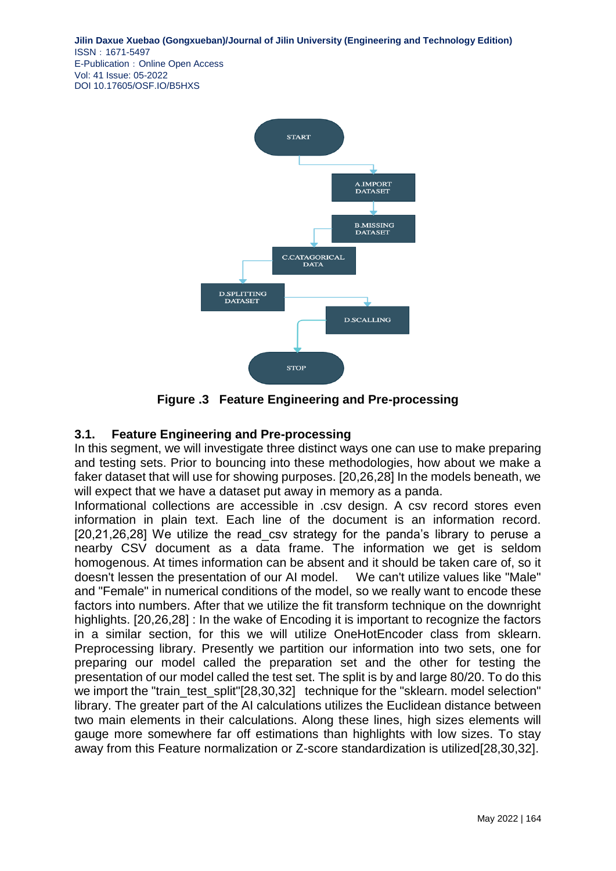

**Figure .3 Feature Engineering and Pre-processing**

## **3.1. Feature Engineering and Pre-processing**

In this segment, we will investigate three distinct ways one can use to make preparing and testing sets. Prior to bouncing into these methodologies, how about we make a faker dataset that will use for showing purposes. [20,26,28] In the models beneath, we will expect that we have a dataset put away in memory as a panda.

Informational collections are accessible in .csv design. A csv record stores even information in plain text. Each line of the document is an information record. [20,21,26,28] We utilize the read\_csv strategy for the panda's library to peruse a nearby CSV document as a data frame. The information we get is seldom homogenous. At times information can be absent and it should be taken care of, so it doesn't lessen the presentation of our AI model. We can't utilize values like "Male" and "Female" in numerical conditions of the model, so we really want to encode these factors into numbers. After that we utilize the fit transform technique on the downright highlights. [20,26,28] : In the wake of Encoding it is important to recognize the factors in a similar section, for this we will utilize OneHotEncoder class from sklearn. Preprocessing library. Presently we partition our information into two sets, one for preparing our model called the preparation set and the other for testing the presentation of our model called the test set. The split is by and large 80/20. To do this we import the "train\_test\_split"[28,30,32] technique for the "sklearn. model selection" library. The greater part of the AI calculations utilizes the Euclidean distance between two main elements in their calculations. Along these lines, high sizes elements will gauge more somewhere far off estimations than highlights with low sizes. To stay away from this Feature normalization or Z-score standardization is utilized[28,30,32].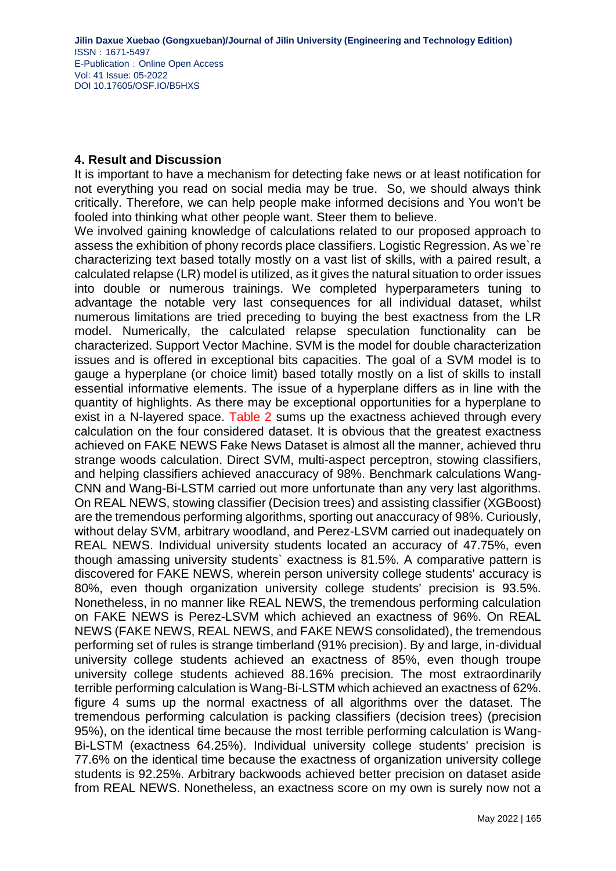#### **4. Result and Discussion**

It is important to have a mechanism for detecting fake news or at least notification for not everything you read on social media may be true. So, we should always think critically. Therefore, we can help people make informed decisions and You won't be fooled into thinking what other people want. Steer them to believe.

We involved gaining knowledge of calculations related to our proposed approach to assess the exhibition of phony records place classifiers. Logistic Regression. As we`re characterizing text based totally mostly on a vast list of skills, with a paired result, a calculated relapse (LR) model is utilized, as it gives the natural situation to order issues into double or numerous trainings. We completed hyperparameters tuning to advantage the notable very last consequences for all individual dataset, whilst numerous limitations are tried preceding to buying the best exactness from the LR model. Numerically, the calculated relapse speculation functionality can be characterized. Support Vector Machine. SVM is the model for double characterization issues and is offered in exceptional bits capacities. The goal of a SVM model is to gauge a hyperplane (or choice limit) based totally mostly on a list of skills to install essential informative elements. The issue of a hyperplane differs as in line with the quantity of highlights. As there may be exceptional opportunities for a hyperplane to exist in a N-layered space. Table 2 sums up the exactness achieved through every calculation on the four considered dataset. It is obvious that the greatest exactness achieved on FAKE NEWS Fake News Dataset is almost all the manner, achieved thru strange woods calculation. Direct SVM, multi-aspect perceptron, stowing classifiers, and helping classifiers achieved anaccuracy of 98%. Benchmark calculations Wang-CNN and Wang-Bi-LSTM carried out more unfortunate than any very last algorithms. On REAL NEWS, stowing classifier (Decision trees) and assisting classifier (XGBoost) are the tremendous performing algorithms, sporting out anaccuracy of 98%. Curiously, without delay SVM, arbitrary woodland, and Perez-LSVM carried out inadequately on REAL NEWS. Individual university students located an accuracy of 47.75%, even though amassing university students` exactness is 81.5%. A comparative pattern is discovered for FAKE NEWS, wherein person university college students' accuracy is 80%, even though organization university college students' precision is 93.5%. Nonetheless, in no manner like REAL NEWS, the tremendous performing calculation on FAKE NEWS is Perez-LSVM which achieved an exactness of 96%. On REAL NEWS (FAKE NEWS, REAL NEWS, and FAKE NEWS consolidated), the tremendous performing set of rules is strange timberland (91% precision). By and large, in-dividual university college students achieved an exactness of 85%, even though troupe university college students achieved 88.16% precision. The most extraordinarily terrible performing calculation is Wang-Bi-LSTM which achieved an exactness of 62%. figure 4 sums up the normal exactness of all algorithms over the dataset. The tremendous performing calculation is packing classifiers (decision trees) (precision 95%), on the identical time because the most terrible performing calculation is Wang-Bi-LSTM (exactness 64.25%). Individual university college students' precision is 77.6% on the identical time because the exactness of organization university college students is 92.25%. Arbitrary backwoods achieved better precision on dataset aside from REAL NEWS. Nonetheless, an exactness score on my own is surely now not a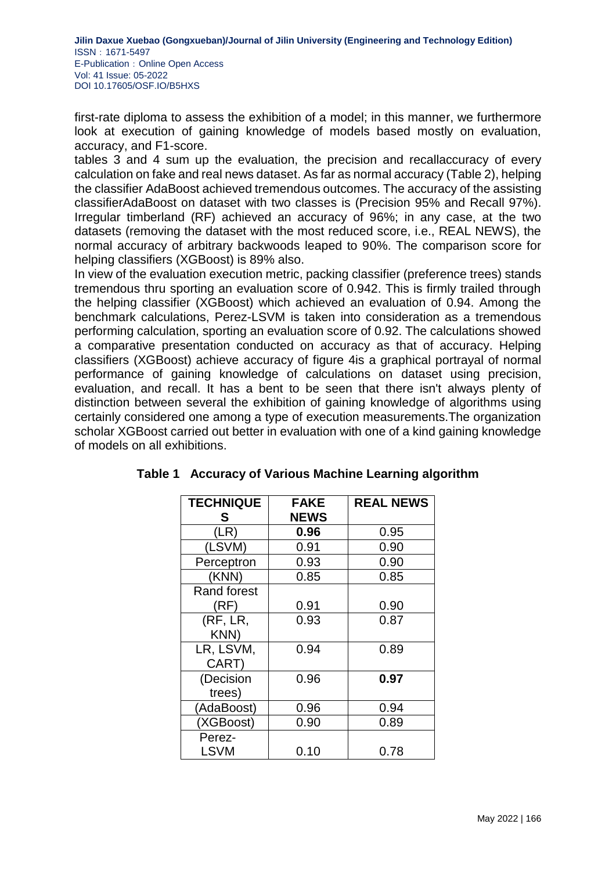first-rate diploma to assess the exhibition of a model; in this manner, we furthermore look at execution of gaining knowledge of models based mostly on evaluation, accuracy, and F1-score.

tables 3 and 4 sum up the evaluation, the precision and recallaccuracy of every calculation on fake and real news dataset. As far as normal accuracy (Table 2), helping the classifier AdaBoost achieved tremendous outcomes. The accuracy of the assisting classifierAdaBoost on dataset with two classes is (Precision 95% and Recall 97%). Irregular timberland (RF) achieved an accuracy of 96%; in any case, at the two datasets (removing the dataset with the most reduced score, i.e., REAL NEWS), the normal accuracy of arbitrary backwoods leaped to 90%. The comparison score for helping classifiers (XGBoost) is 89% also.

In view of the evaluation execution metric, packing classifier (preference trees) stands tremendous thru sporting an evaluation score of 0.942. This is firmly trailed through the helping classifier (XGBoost) which achieved an evaluation of 0.94. Among the benchmark calculations, Perez-LSVM is taken into consideration as a tremendous performing calculation, sporting an evaluation score of 0.92. The calculations showed a comparative presentation conducted on accuracy as that of accuracy. Helping classifiers (XGBoost) achieve accuracy of figure 4is a graphical portrayal of normal performance of gaining knowledge of calculations on dataset using precision, evaluation, and recall. It has a bent to be seen that there isn't always plenty of distinction between several the exhibition of gaining knowledge of algorithms using certainly considered one among a type of execution measurements.The organization scholar XGBoost carried out better in evaluation with one of a kind gaining knowledge of models on all exhibitions.

| <b>TECHNIQUE</b>   | <b>FAKE</b> | <b>REAL NEWS</b> |
|--------------------|-------------|------------------|
| S                  | <b>NEWS</b> |                  |
| (LR)               | 0.96        | 0.95             |
| (LSVM)             | 0.91        | 0.90             |
| Perceptron         | 0.93        | 0.90             |
| (KNN)              | 0.85        | 0.85             |
| <b>Rand forest</b> |             |                  |
| (RF)               | 0.91        | 0.90             |
| (RF, LR,           | 0.93        | 0.87             |
| KNN)               |             |                  |
| LR, LSVM,          | 0.94        | 0.89             |
| CART)              |             |                  |
| (Decision          | 0.96        | 0.97             |
| trees)             |             |                  |
| (AdaBoost)         | 0.96        | 0.94             |
| (XGBoost)          | 0.90        | 0.89             |
| Perez-             |             |                  |
| <b>LSVM</b>        | 0.10        | 0.78             |

## **Table 1 Accuracy of Various Machine Learning algorithm**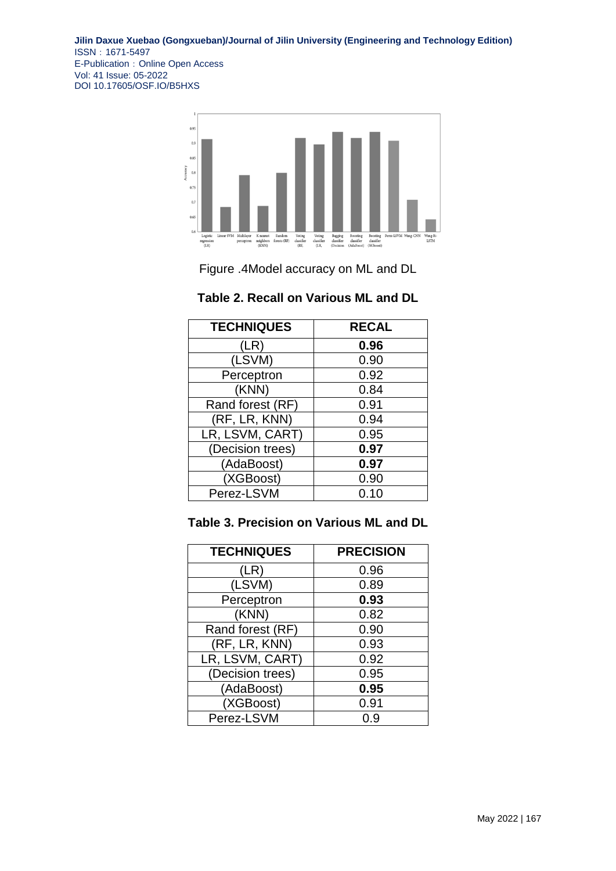

Figure .4Model accuracy on ML and DL

| <b>TECHNIQUES</b> | <b>RECAL</b> |
|-------------------|--------------|
| (LR)              | 0.96         |
| (LSVM)            | 0.90         |
| Perceptron        | 0.92         |
| (KNN)             | 0.84         |
| Rand forest (RF)  | 0.91         |
| (RF, LR, KNN)     | 0.94         |
| LR, LSVM, CART)   | 0.95         |
| (Decision trees)  | 0.97         |
| (AdaBoost)        | 0.97         |
| (XGBoost)         | 0.90         |
| Perez-LSVM        | 0.10         |

### **Table 2. Recall on Various ML and DL**

## **Table 3. Precision on Various ML and DL**

| <b>TECHNIQUES</b> | <b>PRECISION</b> |
|-------------------|------------------|
| (LR)              | 0.96             |
| (LSVM)            | 0.89             |
| Perceptron        | 0.93             |
| (KNN)             | 0.82             |
| Rand forest (RF)  | 0.90             |
| (RF, LR, KNN)     | 0.93             |
| LR, LSVM, CART)   | 0.92             |
| (Decision trees)  | 0.95             |
| (AdaBoost)        | 0.95             |
| (XGBoost)         | 0.91             |
| Perez-LSVM        | ი 9              |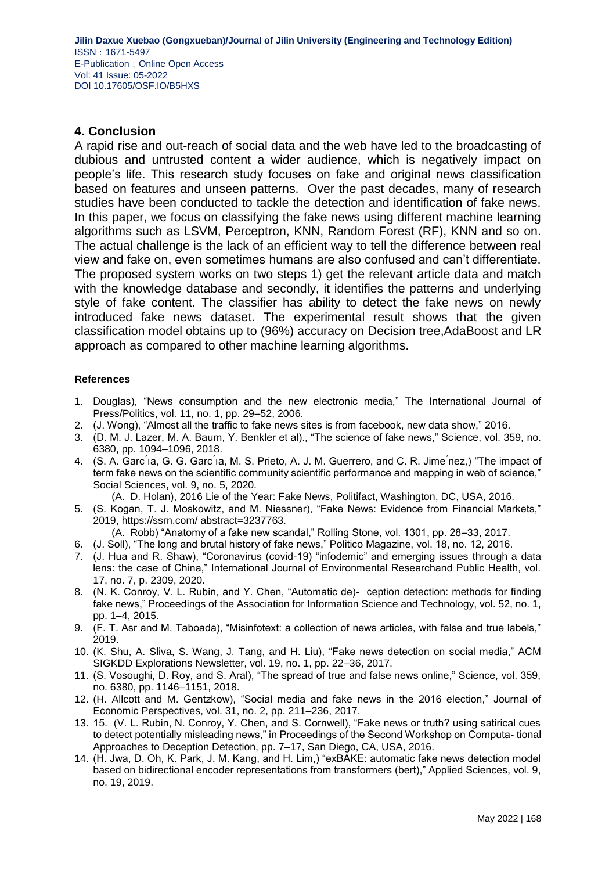#### **4. Conclusion**

A rapid rise and out-reach of social data and the web have led to the broadcasting of dubious and untrusted content a wider audience, which is negatively impact on people's life. This research study focuses on fake and original news classification based on features and unseen patterns. Over the past decades, many of research studies have been conducted to tackle the detection and identification of fake news. In this paper, we focus on classifying the fake news using different machine learning algorithms such as LSVM, Perceptron, KNN, Random Forest (RF), KNN and so on. The actual challenge is the lack of an efficient way to tell the difference between real view and fake on, even sometimes humans are also confused and can't differentiate. The proposed system works on two steps 1) get the relevant article data and match with the knowledge database and secondly, it identifies the patterns and underlying style of fake content. The classifier has ability to detect the fake news on newly introduced fake news dataset. The experimental result shows that the given classification model obtains up to (96%) accuracy on Decision tree,AdaBoost and LR approach as compared to other machine learning algorithms.

#### **References**

- 1. Douglas), "News consumption and the new electronic media," The International Journal of Press/Politics, vol. 11, no. 1, pp. 29–52, 2006.
- 2. (J. Wong), "Almost all the traffic to fake news sites is from facebook, new data show," 2016.
- 3. (D. M. J. Lazer, M. A. Baum, Y. Benkler et al)., "The science of fake news," Science, vol. 359, no. 6380, pp. 1094–1096, 2018.
- 4. (S. A. Garc ́ıa, G. G. Garc ́ıa, M. S. Prieto, A. J. M. Guerrero, and C. R. Jime ́nez,) "The impact of term fake news on the scientific community scientific performance and mapping in web of science," Social Sciences, vol. 9, no. 5, 2020.

(A. D. Holan), 2016 Lie of the Year: Fake News, Politifact, Washington, DC, USA, 2016.

5. (S. Kogan, T. J. Moskowitz, and M. Niessner), "Fake News: Evidence from Financial Markets," 2019, https://ssrn.com/ abstract=3237763.

(A. Robb) "Anatomy of a fake new scandal," Rolling Stone, vol. 1301, pp. 28–33, 2017.

- 6. (J. Soll), "The long and brutal history of fake news," Politico Magazine, vol. 18, no. 12, 2016.
- 7. (J. Hua and R. Shaw), "Coronavirus (covid-19) "infodemic" and emerging issues through a data lens: the case of China," International Journal of Environmental Researchand Public Health, vol. 17, no. 7, p. 2309, 2020.
- 8. (N. K. Conroy, V. L. Rubin, and Y. Chen, "Automatic de)- ception detection: methods for finding fake news," Proceedings of the Association for Information Science and Technology, vol. 52, no. 1, pp. 1–4, 2015.
- 9. (F. T. Asr and M. Taboada), "Misinfotext: a collection of news articles, with false and true labels," 2019.
- 10. (K. Shu, A. Sliva, S. Wang, J. Tang, and H. Liu), "Fake news detection on social media," ACM SIGKDD Explorations Newsletter, vol. 19, no. 1, pp. 22–36, 2017.
- 11. (S. Vosoughi, D. Roy, and S. Aral), "The spread of true and false news online," Science, vol. 359, no. 6380, pp. 1146–1151, 2018.
- 12. (H. Allcott and M. Gentzkow), "Social media and fake news in the 2016 election," Journal of Economic Perspectives, vol. 31, no. 2, pp. 211–236, 2017.
- 13. 15. (V. L. Rubin, N. Conroy, Y. Chen, and S. Cornwell), "Fake news or truth? using satirical cues to detect potentially misleading news," in Proceedings of the Second Workshop on Computa- tional Approaches to Deception Detection, pp. 7–17, San Diego, CA, USA, 2016.
- 14. (H. Jwa, D. Oh, K. Park, J. M. Kang, and H. Lim,) "exBAKE: automatic fake news detection model based on bidirectional encoder representations from transformers (bert)," Applied Sciences, vol. 9, no. 19, 2019.